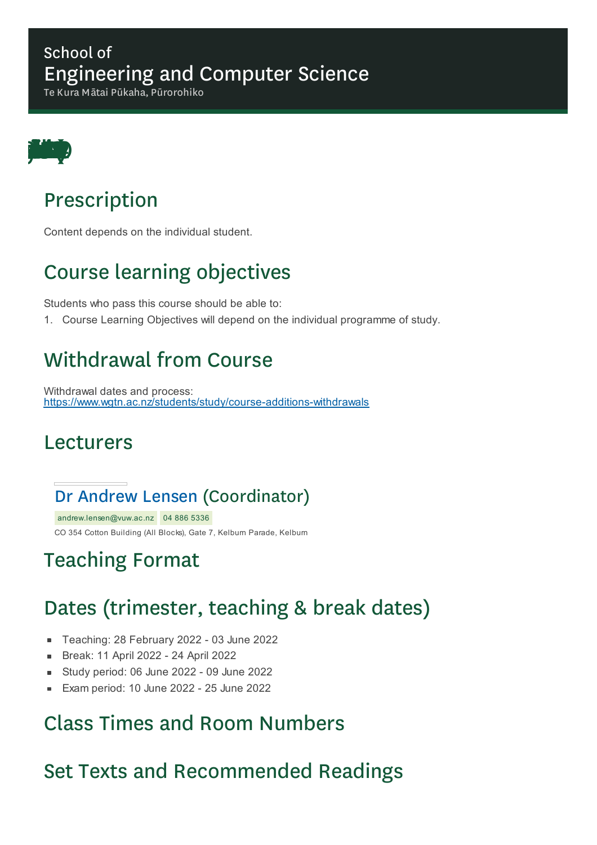#### School of Engineering and Computer Science

Te Kura Mātai Pūkaha, Pūrorohiko



## Prescription

Content depends on the individual student.

# Course learning objectives

Students who pass this course should be able to:

1. Course Learning Objectives will depend on the individual programme of study.

## Withdrawal from Course

Withdrawal dates and process: https://www.wgtn.ac.nz/students/study/course-additions-withdrawals

#### Lecturers

#### Dr Andrew Lensen (Coordinator)

andrew.lensen@vuw.ac.nz 04 886 5336 CO 354 Cotton Building (All Blocks), Gate 7, Kelburn Parade, Kelburn

## Teaching Format

## Dates (trimester, teaching & break dates)

- Teaching: 28 February 2022 03 June 2022  $\blacksquare$
- Break: 11 April 2022 24 April 2022
- Study period: 06 June 2022 09 June 2022  $\blacksquare$
- Exam period: 10 June 2022 25 June 2022  $\blacksquare$

#### Class Times and Room Numbers

### Set Texts and Recommended Readings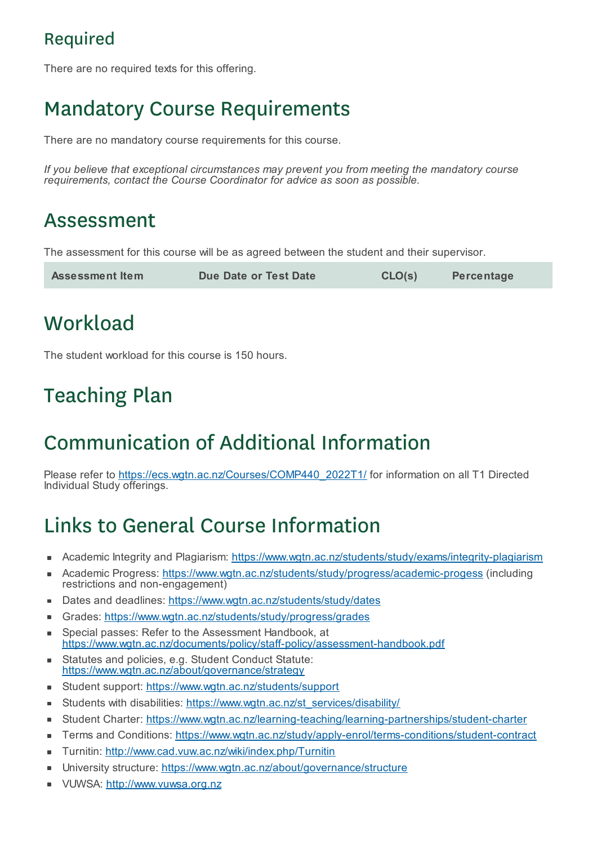#### Required

There are no required texts for this offering.

# Mandatory Course Requirements

There are no mandatory course requirements for this course.

*If you believe that exceptional circumstances may prevent you from meeting the mandatory course requirements, contact the Course Coordinator for advice as soon as possible.*

## Assessment

The assessment for this course will be as agreed between the student and their supervisor.

| <b>Assessment Item</b> | Due Date or Test Date | CLO(s) | Percentage |
|------------------------|-----------------------|--------|------------|
|------------------------|-----------------------|--------|------------|

# **Workload**

The student workload for this course is 150 hours.

# Teaching Plan

# Communication of Additional Information

Please refer to https://ecs.wgtn.ac.nz/Courses/COMP440\_2022T1/ for information on all T1 Directed Individual Study offerings.

# Links to General Course Information

- Academic Integrity and Plagiarism: https://www.wgtn.ac.nz/students/study/exams/integrity-plagiarism
- Academic Progress: https://www.wgtn.ac.nz/students/study/progress/academic-progess (including  $\blacksquare$ restrictions and non-engagement)
- Dates and deadlines: https://www.wgtn.ac.nz/students/study/dates Ė
- Grades: https://www.wgtn.ac.nz/students/study/progress/grades
- Special passes: Refer to the Assessment Handbook, at ×. https://www.wgtn.ac.nz/documents/policy/staff-policy/assessment-handbook.pdf
- Statutes and policies, e.g. Student Conduct Statute: × https://www.wgtn.ac.nz/about/governance/strategy
- Student support: https://www.wgtn.ac.nz/students/support
- Students with disabilities: https://www.wgtn.ac.nz/st\_services/disability/ ٠
- Student Charter: https://www.wgtn.ac.nz/learning-teaching/learning-partnerships/student-charter  $\blacksquare$
- Terms and Conditions: https://www.wgtn.ac.nz/study/apply-enrol/terms-conditions/student-contract
- Turnitin: http://www.cad.vuw.ac.nz/wiki/index.php/Turnitin  $\blacksquare$
- University structure: https://www.wgtn.ac.nz/about/governance/structure É
- VUWSA: http://www.vuwsa.org.nzÉ